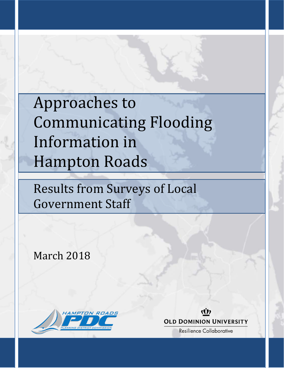# Approaches to Communicating Flooding Information in Hampton Roads

Results from Surveys of Local Government Staff

March 2018





**Resilience Collaborative**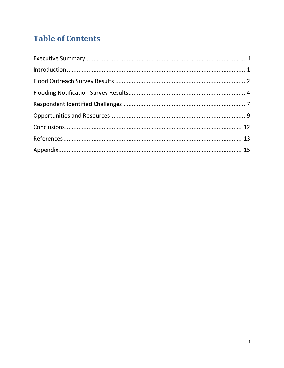# **Table of Contents**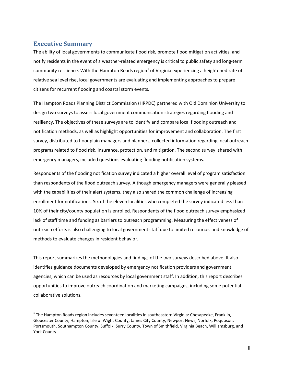# **Executive Summary**

The ability of local governments to communicate flood risk, promote flood mitigation activities, and notify residents in the event of a weather-related emergency is critical to public safety and long-term community resilience. With the Hampton Roads region<sup>[1](#page-2-0)</sup> of Virginia experiencing a heightened rate of relative sea level rise, local governments are evaluating and implementing approaches to prepare citizens for recurrent flooding and coastal storm events.

The Hampton Roads Planning District Commission (HRPDC) partnered with Old Dominion University to design two surveys to assess local government communication strategies regarding flooding and resiliency. The objectives of these surveys are to identify and compare local flooding outreach and notification methods, as well as highlight opportunities for improvement and collaboration. The first survey, distributed to floodplain managers and planners, collected information regarding local outreach programs related to flood risk, insurance, protection, and mitigation. The second survey, shared with emergency managers, included questions evaluating flooding notification systems.

Respondents of the flooding notification survey indicated a higher overall level of program satisfaction than respondents of the flood outreach survey. Although emergency managers were generally pleased with the capabilities of their alert systems, they also shared the common challenge of increasing enrollment for notifications. Six of the eleven localities who completed the survey indicated less than 10% of their city/county population is enrolled. Respondents of the flood outreach survey emphasized lack of staff time and funding as barriers to outreach programming. Measuring the effectiveness of outreach efforts is also challenging to local government staff due to limited resources and knowledge of methods to evaluate changes in resident behavior.

This report summarizes the methodologies and findings of the two surveys described above. It also identifies guidance documents developed by emergency notification providers and government agencies, which can be used as resources by local government staff. In addition, this report describes opportunities to improve outreach coordination and marketing campaigns, including some potential collaborative solutions.

<span id="page-2-0"></span> $1$  The Hampton Roads region includes seventeen localities in southeastern Virginia: Chesapeake, Franklin, Gloucester County, Hampton, Isle of Wight County, James City County, Newport News, Norfolk, Poquoson, Portsmouth, Southampton County, Suffolk, Surry County, Town of Smithfield, Virginia Beach, Williamsburg, and York County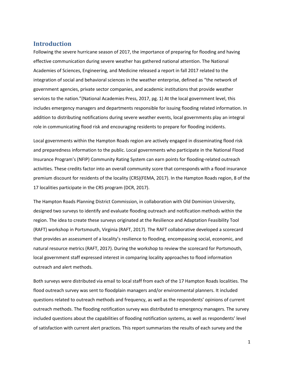### <span id="page-3-0"></span>**Introduction**

Following the severe hurricane season of 2017, the importance of preparing for flooding and having effective communication during severe weather has gathered national attention. The National Academies of Sciences, Engineering, and Medicine released a report in fall 2017 related to the integration of social and behavioral sciences in the weather enterprise, defined as "the network of government agencies, private sector companies, and academic institutions that provide weather services to the nation."(National Academies Press, 2017, pg. 1) At the local government level, this includes emergency managers and departments responsible for issuing flooding related information. In addition to distributing notifications during severe weather events, local governments play an integral role in communicating flood risk and encouraging residents to prepare for flooding incidents.

Local governments within the Hampton Roads region are actively engaged in disseminating flood risk and preparedness information to the public. Local governments who participate in the National Flood Insurance Program's (NFIP) Community Rating System can earn points for flooding-related outreach activities. These credits factor into an overall community score that corresponds with a flood insurance premium discount for residents of the locality (CRS)(FEMA, 2017). In the Hampton Roads region, 8 of the 17 localities participate in the CRS program (DCR, 2017).

The Hampton Roads Planning District Commission, in collaboration with Old Dominion University, designed two surveys to identify and evaluate flooding outreach and notification methods within the region. The idea to create these surveys originated at the Resilience and Adaptation Feasibility Tool (RAFT) workshop in Portsmouth, Virginia (RAFT, 2017). The RAFT collaborative developed a scorecard that provides an assessment of a locality's resilience to flooding, encompassing social, economic, and natural resource metrics (RAFT, 2017). During the workshop to review the scorecard for Portsmouth, local government staff expressed interest in comparing locality approaches to flood information outreach and alert methods.

Both surveys were distributed via email to local staff from each of the 17 Hampton Roads localities. The flood outreach survey was sent to floodplain managers and/or environmental planners. It included questions related to outreach methods and frequency, as well as the respondents' opinions of current outreach methods. The flooding notification survey was distributed to emergency managers. The survey included questions about the capabilities of flooding notification systems, as well as respondents' level of satisfaction with current alert practices. This report summarizes the results of each survey and the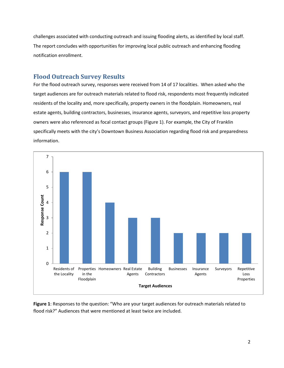challenges associated with conducting outreach and issuing flooding alerts, as identified by local staff. The report concludes with opportunities for improving local public outreach and enhancing flooding notification enrollment.

# <span id="page-4-0"></span>**Flood Outreach Survey Results**

For the flood outreach survey, responses were received from 14 of 17 localities. When asked who the target audiences are for outreach materials related to flood risk, respondents most frequently indicated residents of the locality and, more specifically, property owners in the floodplain. Homeowners, real estate agents, building contractors, businesses, insurance agents, surveyors, and repetitive loss property owners were also referenced as focal contact groups (Figure 1). For example, the City of Franklin specifically meets with the city's Downtown Business Association regarding flood risk and preparedness information.



**Figure 1**: Responses to the question: "Who are your target audiences for outreach materials related to flood risk?" Audiences that were mentioned at least twice are included.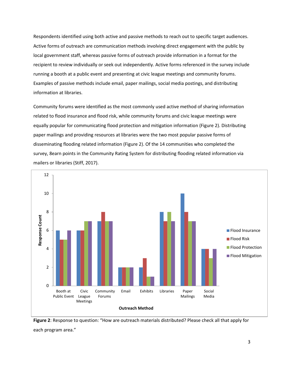Respondents identified using both active and passive methods to reach out to specific target audiences. Active forms of outreach are communication methods involving direct engagement with the public by local government staff, whereas passive forms of outreach provide information in a format for the recipient to review individually or seek out independently. Active forms referenced in the survey include running a booth at a public event and presenting at civic league meetings and community forums. Examples of passive methods include email, paper mailings, social media postings, and distributing information at libraries.

Community forums were identified as the most commonly used active method of sharing information related to flood insurance and flood risk, while community forums and civic league meetings were equally popular for communicating flood protection and mitigation information (Figure 2). Distributing paper mailings and providing resources at libraries were the two most popular passive forms of disseminating flooding related information (Figure 2). Of the 14 communities who completed the survey, 8earn points in the Community Rating System for distributing flooding related information via mailers or libraries (Stiff, 2017).



**Figure 2**: Response to question: "How are outreach materials distributed? Please check all that apply for each program area."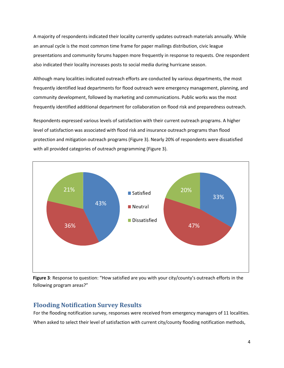A majority of respondents indicated their locality currently updates outreach materials annually. While an annual cycle is the most common time frame for paper mailings distribution, civic league presentations and community forums happen more frequently in response to requests. One respondent also indicated their locality increases posts to social media during hurricane season.

Although many localities indicated outreach efforts are conducted by various departments, the most frequently identified lead departments for flood outreach were emergency management, planning, and community development, followed by marketing and communications. Public works was the most frequently identified additional department for collaboration on flood risk and preparedness outreach.

Respondents expressed various levels of satisfaction with their current outreach programs. A higher level of satisfaction was associated with flood risk and insurance outreach programs than flood protection and mitigation outreach programs (Figure 3). Nearly 20% of respondents were dissatisfied with all provided categories of outreach programming (Figure 3).



<span id="page-6-0"></span>

# **Flooding Notification Survey Results**

For the flooding notification survey, responses were received from emergency managers of 11 localities. When asked to select their level of satisfaction with current city/county flooding notification methods,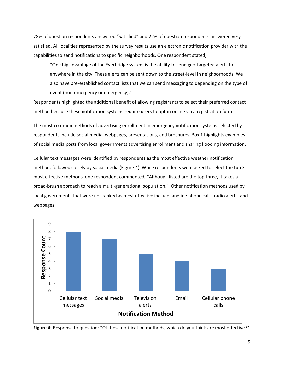78% of question respondents answered "Satisfied" and 22% of question respondents answered very satisfied. All localities represented by the survey results use an electronic notification provider with the capabilities to send notifications to specific neighborhoods. One respondent stated,

 "One big advantage of the Everbridge system is the ability to send geo-targeted alerts to anywhere in the city. These alerts can be sent down to the street-level in neighborhoods. We also have pre-established contact lists that we can send messaging to depending on the type of event (non-emergency or emergency)."

Respondents highlighted the additional benefit of allowing registrants to select their preferred contact method because these notification systems require users to opt-in online via a registration form.

The most common methods of advertising enrollment in emergency notification systems selected by respondents include social media, webpages, presentations, and brochures. Box 1 highlights examples of social media posts from local governments advertising enrollment and sharing flooding information.

Cellular text messages were identified by respondents as the most effective weather notification method, followed closely by social media (Figure 4). While respondents were asked to select the top 3 most effective methods, one respondent commented, "Although listed are the top three, it takes a broad-brush approach to reach a multi-generational population." Other notification methods used by local governments that were not ranked as most effective include landline phone calls, radio alerts, and webpages.



**Figure 4:** Response to question: "Of these notification methods, which do you think are most effective?"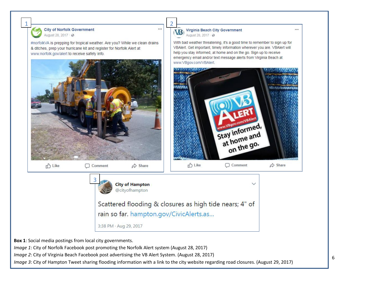

3:38 PM · Aug 29, 2017

**Box 1**: Social media postings from local city governments.

*Image 1*: City of Norfolk Facebook post promoting the Norfolk Alert system (August 28, 2017)

*Image 2*: City of Virginia Beach Facebook post advertising the VB Alert System. (August 28, 2017)

*Image 3*: City of Hampton Tweet sharing flooding information with a link to the city website regarding road closures. (August 29, 2017)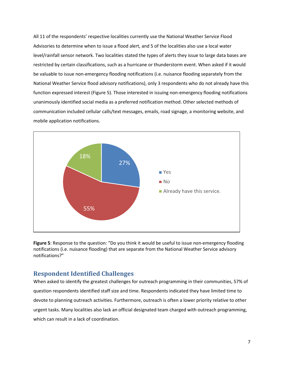All 11 of the respondents' respective localities currently use the National Weather Service Flood Advisories to determine when to issue a flood alert, and 5 of the localities also use a local water level/rainfall sensor network. Two localities stated the types of alerts they issue to large data bases are restricted by certain classifications, such as a hurricane or thunderstorm event. When asked if it would be valuable to issue non-emergency flooding notifications (i.e. nuisance flooding separately from the National Weather Service flood advisory notifications), only 3 respondents who do not already have this function expressed interest (Figure 5). Those interested in issuing non-emergency flooding notifications unanimously identified social media as a preferred notification method. Other selected methods of communication included cellular calls/text messages, emails, road signage, a monitoring website, and mobile application notifications.



**Figure 5**: Response to the question: "Do you think it would be useful to issue non-emergency flooding notifications (i.e. nuisance flooding) that are separate from the National Weather Service advisory notifications?"

# <span id="page-9-0"></span>**Respondent Identified Challenges**

When asked to identify the greatest challenges for outreach programming in their communities, 57% of question respondents identified staff size and time. Respondents indicated they have limited time to devote to planning outreach activities. Furthermore, outreach is often a lower priority relative to other urgent tasks. Many localities also lack an official designated team charged with outreach programming, which can result in a lack of coordination.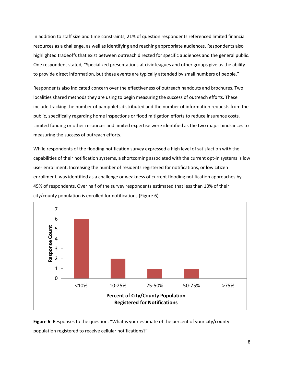In addition to staff size and time constraints, 21% of question respondents referenced limited financial resources as a challenge, as well as identifying and reaching appropriate audiences. Respondents also highlighted tradeoffs that exist between outreach directed for specific audiences and the general public. One respondent stated, "Specialized presentations at civic leagues and other groups give us the ability to provide direct information, but these events are typically attended by small numbers of people."

Respondents also indicated concern over the effectiveness of outreach handouts and brochures. Two localities shared methods they are using to begin measuring the success of outreach efforts. These include tracking the number of pamphlets distributed and the number of information requests from the public, specifically regarding home inspections or flood mitigation efforts to reduce insurance costs. Limited funding or other resources and limited expertise were identified as the two major hindrances to measuring the success of outreach efforts.

While respondents of the flooding notification survey expressed a high level of satisfaction with the capabilities of their notification systems, a shortcoming associated with the current opt-in systems is low user enrollment. Increasing the number of residents registered for notifications, or low citizen enrollment, was identified as a challenge or weakness of current flooding notification approaches by 45% of respondents. Over half of the survey respondents estimated that less than 10% of their city/county population is enrolled for notifications (Figure 6).



**Figure 6**: Responses to the question: "What is your estimate of the percent of your city/county population registered to receive cellular notifications?"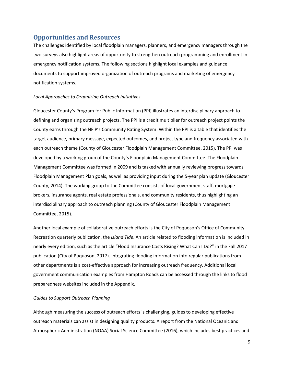## <span id="page-11-0"></span>**Opportunities and Resources**

The challenges identified by local floodplain managers, planners, and emergency managers through the two surveys also highlight areas of opportunity to strengthen outreach programming and enrollment in emergency notification systems. The following sections highlight local examples and guidance documents to support improved organization of outreach programs and marketing of emergency notification systems.

#### *Local Approaches to Organizing Outreach Initiatives*

Gloucester County's Program for Public Information (PPI) illustrates an interdisciplinary approach to defining and organizing outreach projects. The PPI is a credit multiplier for outreach project points the County earns through the NFIP's Community Rating System. Within the PPI is a table that identifies the target audience, primary message, expected outcomes, and project type and frequency associated with each outreach theme (County of Gloucester Floodplain Management Committee, 2015). The PPI was developed by a working group of the County's Floodplain Management Committee. The Floodplain Management Committee was formed in 2009 and is tasked with annually reviewing progress towards Floodplain Management Plan goals, as well as providing input during the 5-year plan update (Gloucester County, 2014). The working group to the Committee consists of local government staff, mortgage brokers, insurance agents, real estate professionals, and community residents, thus highlighting an interdisciplinary approach to outreach planning (County of Gloucester Floodplain Management Committee, 2015).

Another local example of collaborative outreach efforts is the City of Poquoson's Office of Community Recreation quarterly publication, the *Island Tide*. An article related to flooding information is included in nearly every edition, such as the article "Flood Insurance Costs Rising? What Can I Do?" in the Fall 2017 publication (City of Poquoson, 2017). Integrating flooding information into regular publications from other departments is a cost-effective approach for increasing outreach frequency. Additional local government communication examples from Hampton Roads can be accessed through the links to flood preparedness websites included in the Appendix.

#### *Guides to Support Outreach Planning*

Although measuring the success of outreach efforts is challenging, guides to developing effective outreach materials can assist in designing quality products. A report from the National Oceanic and Atmospheric Administration (NOAA) Social Science Committee (2016), which includes best practices and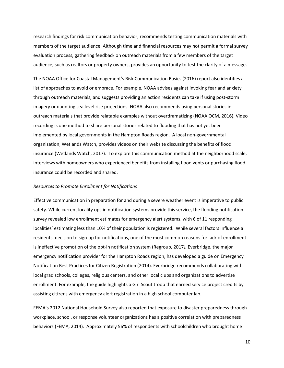research findings for risk communication behavior, recommends testing communication materials with members of the target audience. Although time and financial resources may not permit a formal survey evaluation process, gathering feedback on outreach materials from a few members of the target audience, such as realtors or property owners, provides an opportunity to test the clarity of a message.

The NOAA Office for Coastal Management's Risk Communication Basics (2016) report also identifies a list of approaches to avoid or embrace. For example, NOAA advises against invoking fear and anxiety through outreach materials, and suggests providing an action residents can take if using post-storm imagery or daunting sea level rise projections. NOAA also recommends using personal stories in outreach materials that provide relatable examples without overdramatizing (NOAA OCM, 2016). Video recording is one method to share personal stories related to flooding that has not yet been implemented by local governments in the Hampton Roads region. A local non-governmental organization, Wetlands Watch, provides videos on their website discussing the benefits of flood insurance (Wetlands Watch, 2017). To explore this communication method at the neighborhood scale, interviews with homeowners who experienced benefits from installing flood vents or purchasing flood insurance could be recorded and shared.

#### *Resources to Promote Enrollment for Notifications*

Effective communication in preparation for and during a severe weather event is imperative to public safety. While current locality opt-in notification systems provide this service, the flooding notification survey revealed low enrollment estimates for emergency alert systems, with 6 of 11 responding localities' estimating less than 10% of their population is registered. While several factors influence a residents' decision to sign-up for notifications, one of the most common reasons for lack of enrollment is ineffective promotion of the opt-in notification system (Regroup, 2017*).* Everbridge, the major emergency notification provider for the Hampton Roads region, has developed a guide on Emergency Notification Best Practices for Citizen Registration (2014). Everbridge recommends collaborating with local grad schools, colleges, religious centers, and other local clubs and organizations to advertise enrollment. For example, the guide highlights a Girl Scout troop that earned service project credits by assisting citizens with emergency alert registration in a high school computer lab.

FEMA's 2012 National Household Survey also reported that exposure to disaster preparedness through workplace, school, or response volunteer organizations has a positive correlation with preparedness behaviors (FEMA, 2014). Approximately 56% of respondents with schoolchildren who brought home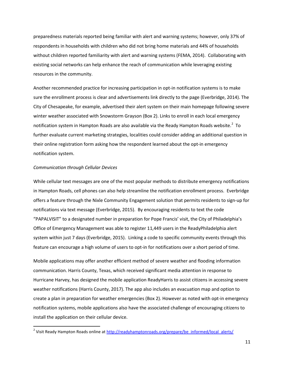preparedness materials reported being familiar with alert and warning systems; however, only 37% of respondents in households with children who did not bring home materials and 44% of households without children reported familiarity with alert and warning systems (FEMA, 2014). Collaborating with existing social networks can help enhance the reach of communication while leveraging existing resources in the community.

Another recommended practice for increasing participation in opt-in notification systems is to make sure the enrollment process is clear and advertisements link directly to the page (Everbridge, 2014). The City of Chesapeake, for example, advertised their alert system on their main homepage following severe winter weather associated with Snowstorm Grayson (Box 2). Links to enroll in each local emergency notification system in Hampton Roads are also available via the Ready Hampton Roads website.<sup>[2](#page-13-0)</sup> To further evaluate current marketing strategies, localities could consider adding an additional question in their online registration form asking how the respondent learned about the opt-in emergency notification system.

#### *Communication through Cellular Devices*

While cellular text messages are one of the most popular methods to distribute emergency notifications in Hampton Roads, cell phones can also help streamline the notification enrollment process. Everbridge offers a feature through the Nixle Community Engagement solution that permits residents to sign-up for notifications via text message (Everbridge, 2015). By encouraging residents to text the code "PAPALVISIT" to a designated number in preparation for Pope Francis' visit, the City of Philadelphia's Office of Emergency Management was able to register 11,449 users in the ReadyPhiladelphia alert system within just 7 days (Everbridge, 2015). Linking a code to specific community events through this feature can encourage a high volume of users to opt-in for notifications over a short period of time.

Mobile applications may offer another efficient method of severe weather and flooding information communication. Harris County, Texas, which received significant media attention in response to Hurricane Harvey, has designed the mobile application ReadyHarris to assist citizens in accessing severe weather notifications (Harris County, 2017). The app also includes an evacuation map and option to create a plan in preparation for weather emergencies (Box 2). However as noted with opt-in emergency notification systems, mobile applications also have the associated challenge of encouraging citizens to install the application on their cellular device.

<span id="page-13-0"></span><sup>&</sup>lt;sup>2</sup> Visit Ready Hampton Roads online at  $\frac{http://readyhamptonroads.org/prepare/be=informed/local=alerts/$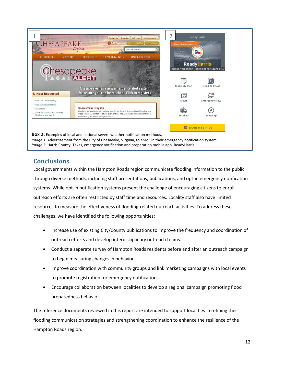

# <span id="page-14-0"></span>**Conclusions**

Local governments within the Hampton Roads region communicate flooding information to the public through diverse methods, including staff presentations, publications, and opt-in emergency notification systems. While opt-in notification systems present the challenge of encouraging citizens to enroll, outreach efforts are often restricted by staff time and resources. Locality staff also have limited resources to measure the effectiveness of flooding-related outreach activities. To address these challenges, we have identified the following opportunities:

- Increase use of existing City/County publications to improve the frequency and coordination of outreach efforts and develop interdisciplinary outreach teams.
- Conduct a separate survey of Hampton Roads residents before and after an outreach campaign to begin measuring changes in behavior.
- Improve coordination with community groups and link marketing campaigns with local events to promote registration for emergency notifications.
- Encourage collaboration between localities to develop a regional campaign promoting flood preparedness behavior.

The reference documents reviewed in this report are intended to support localities in refining their flooding communication strategies and strengthening coordination to enhance the resilience of the Hampton Roads region.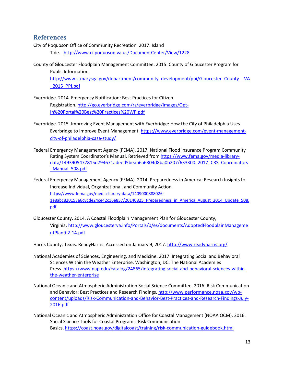## <span id="page-15-0"></span>**References**

City of Poquoson Office of Community Recreation. 2017. Island

Tide. <http://www.ci.poquoson.va.us/DocumentCenter/View/1228>

County of Gloucester Floodplain Management Committee. 2015. County of Gloucester Program for Public Information.

[http://www.stmarysga.gov/department/community\\_development/ppi/Gloucester\\_County\\_\\_VA](http://www.stmarysga.gov/department/community_development/ppi/Gloucester_County__VA_2015_PPI.pdf) [\\_2015\\_PPI.pdf](http://www.stmarysga.gov/department/community_development/ppi/Gloucester_County__VA_2015_PPI.pdf)

- Everbridge. 2014. Emergency Notification: Best Practices for Citizen Registration. [http://go.everbridge.com/rs/everbridge/images/Opt-](http://go.everbridge.com/rs/everbridge/images/Opt-In%20Portal%20Best%20Practices%20WP.pdf)[In%20Portal%20Best%20Practices%20WP.pdf](http://go.everbridge.com/rs/everbridge/images/Opt-In%20Portal%20Best%20Practices%20WP.pdf)
- Everbridge. 2015. Improving Event Management with Everbridge: How the City of Philadelphia Uses Everbridge to Improve Event Management. [https://www.everbridge.com/event-management](https://www.everbridge.com/event-management-city-of-philadelphia-case-study/)[city-of-philadelphia-case-study/](https://www.everbridge.com/event-management-city-of-philadelphia-case-study/)
- Federal Emergency Management Agency (FEMA). 2017. National Flood Insurance Program Community Rating System Coordinator's Manual. Retrieved from [https://www.fema.gov/media-library](https://www.fema.gov/media-library-%20%20%20%20data/1493905477815d794671adeed5beab6a6304d8ba0b207/633300_2017_CRS_Coordinators_Manual_508.pdf)[data/1493905477815d794671adeed5beab6a6304d8ba0b207/633300\\_2017\\_CRS\\_Coordinators](https://www.fema.gov/media-library-%20%20%20%20data/1493905477815d794671adeed5beab6a6304d8ba0b207/633300_2017_CRS_Coordinators_Manual_508.pdf) [\\_Manual\\_508.pdf](https://www.fema.gov/media-library-%20%20%20%20data/1493905477815d794671adeed5beab6a6304d8ba0b207/633300_2017_CRS_Coordinators_Manual_508.pdf)
- Federal Emergency Management Agency (FEMA). 2014. Preparedness in America: Research Insights to Increase Individual, Organizational, and Community Action. [https://www.fema.gov/media-library-data/1409000888026-](https://www.fema.gov/media-library-data/1409000888026-1e8abc820153a6c8cde24ce42c16e857/20140825_Preparedness_in_America_August_2014_Update_508.pdf) [1e8abc820153a6c8cde24ce42c16e857/20140825\\_Preparedness\\_in\\_America\\_August\\_2014\\_Update\\_508.](https://www.fema.gov/media-library-data/1409000888026-1e8abc820153a6c8cde24ce42c16e857/20140825_Preparedness_in_America_August_2014_Update_508.pdf) [pdf](https://www.fema.gov/media-library-data/1409000888026-1e8abc820153a6c8cde24ce42c16e857/20140825_Preparedness_in_America_August_2014_Update_508.pdf)
- Gloucester County. 2014. A Coastal Floodplain Management Plan for Gloucester County, Virginia. [http://www.gloucesterva.info/Portals/0/es/documents/AdoptedFloodplainManageme](http://www.gloucesterva.info/Portals/0/es/documents/AdoptedFloodplainManagementPlan9-2-14.pdf) [ntPlan9-2-14.pdf](http://www.gloucesterva.info/Portals/0/es/documents/AdoptedFloodplainManagementPlan9-2-14.pdf)

Harris County, Texas. ReadyHarris. Accessed on January 9, 2017.<http://www.readyharris.org/>

- National Academies of Sciences, Engineering, and Medicine. 2017. Integrating Social and Behavioral Sciences Within the Weather Enterprise. Washington, DC: The National Academies Press. [https://www.nap.edu/catalog/24865/integrating-social-and-behavioral-sciences-within](https://www.nap.edu/catalog/24865/integrating-social-and-behavioral-sciences-within-the-weather-enterprise)[the-weather-enterprise](https://www.nap.edu/catalog/24865/integrating-social-and-behavioral-sciences-within-the-weather-enterprise)
- National Oceanic and Atmospheric Administration Social Science Committee. 2016. Risk Communication and Behavior: Best Practices and Research Findings[. http://www.performance.noaa.gov/wp](http://www.performance.noaa.gov/wp-content/uploads/Risk-Communication-and-Behavior-Best-Practices-and-Research-Findings-July-2016.pdf)[content/uploads/Risk-Communication-and-Behavior-Best-Practices-and-Research-Findings-July-](http://www.performance.noaa.gov/wp-content/uploads/Risk-Communication-and-Behavior-Best-Practices-and-Research-Findings-July-2016.pdf)[2016.pdf](http://www.performance.noaa.gov/wp-content/uploads/Risk-Communication-and-Behavior-Best-Practices-and-Research-Findings-July-2016.pdf)
- National Oceanic and Atmospheric Administration Office for Coastal Management (NOAA OCM). 2016. Social Science Tools for Coastal Programs: Risk Communication Basics.<https://coast.noaa.gov/digitalcoast/training/risk-communication-guidebook.html>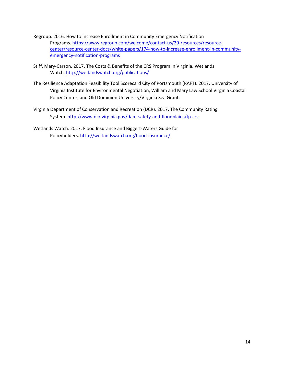- Regroup. 2016. How to Increase Enrollment in Community Emergency Notification Programs. [https://www.regroup.com/welcome/contact-us/29-resources/resource](https://www.regroup.com/welcome/contact-us/29-resources/resource-center/resource-center-docs/white-papers/174-how-to-increase-enrollment-in-community-emergency-notification-programs)[center/resource-center-docs/white-papers/174-how-to-increase-enrollment-in-community](https://www.regroup.com/welcome/contact-us/29-resources/resource-center/resource-center-docs/white-papers/174-how-to-increase-enrollment-in-community-emergency-notification-programs)[emergency-notification-programs](https://www.regroup.com/welcome/contact-us/29-resources/resource-center/resource-center-docs/white-papers/174-how-to-increase-enrollment-in-community-emergency-notification-programs)
- Stiff, Mary-Carson. 2017. The Costs & Benefits of the CRS Program in Virginia. Wetlands Watch[. http://wetlandswatch.org/publications/](http://wetlandswatch.org/publications/)
- The Resilience Adaptation Feasibility Tool Scorecard City of Portsmouth (RAFT). 2017. University of Virginia Institute for Environmental Negotiation, William and Mary Law School Virginia Coastal Policy Center, and Old Dominion University/Virginia Sea Grant.
- Virginia Department of Conservation and Recreation (DCR). 2017. The Community Rating System[. http://www.dcr.virginia.gov/dam-safety-and-floodplains/fp-crs](http://www.dcr.virginia.gov/dam-safety-and-floodplains/fp-crs)

Wetlands Watch. 2017. Flood Insurance and Biggert-Waters Guide for Policyholders.<http://wetlandswatch.org/flood-insurance/>